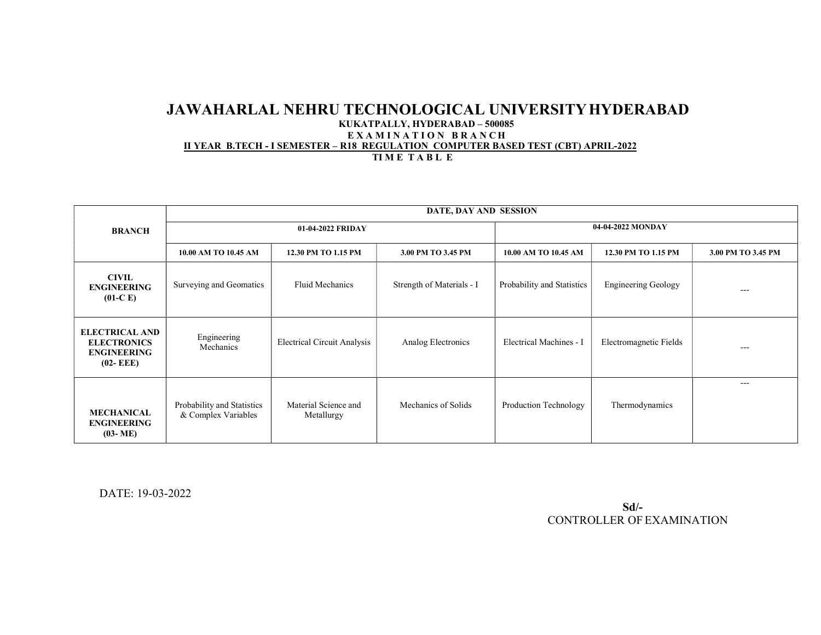## JAWAHARLAL NEHRU TECHNOLOGICAL UNIVERSITY HYDERABAD KUKATPALLY, HYDERABAD – 500085 EXAMINATION BRANCH II YEAR B.TECH - I SEMESTER – R18 REGULATION COMPUTER BASED TEST (CBT) APRIL-2022 TIME TABLE

|                                                                                   | DATE, DAY AND SESSION                             |                                    |                           |                            |                            |                    |  |
|-----------------------------------------------------------------------------------|---------------------------------------------------|------------------------------------|---------------------------|----------------------------|----------------------------|--------------------|--|
| <b>BRANCH</b>                                                                     | 01-04-2022 FRIDAY                                 |                                    |                           | 04-04-2022 MONDAY          |                            |                    |  |
|                                                                                   | 10.00 AM TO 10.45 AM                              | 12.30 PM TO 1.15 PM                | 3.00 PM TO 3.45 PM        | 10.00 AM TO 10.45 AM       | 12.30 PM TO 1.15 PM        | 3.00 PM TO 3.45 PM |  |
| <b>CIVIL</b><br><b>ENGINEERING</b><br>$(01-C)$                                    | Surveying and Geomatics                           | Fluid Mechanics                    | Strength of Materials - I | Probability and Statistics | <b>Engineering Geology</b> | ---                |  |
| <b>ELECTRICAL AND</b><br><b>ELECTRONICS</b><br><b>ENGINEERING</b><br>$(02 - EEE)$ | Engineering<br>Mechanics                          | <b>Electrical Circuit Analysis</b> | Analog Electronics        | Electrical Machines - I    | Electromagnetic Fields     | $---$              |  |
| <b>MECHANICAL</b><br><b>ENGINEERING</b><br>$(03 - ME)$                            | Probability and Statistics<br>& Complex Variables | Material Science and<br>Metallurgy | Mechanics of Solids       | Production Technology      | Thermodynamics             | ---                |  |

DATE: 19-03-2022

 Sd/- CONTROLLER OF EXAMINATION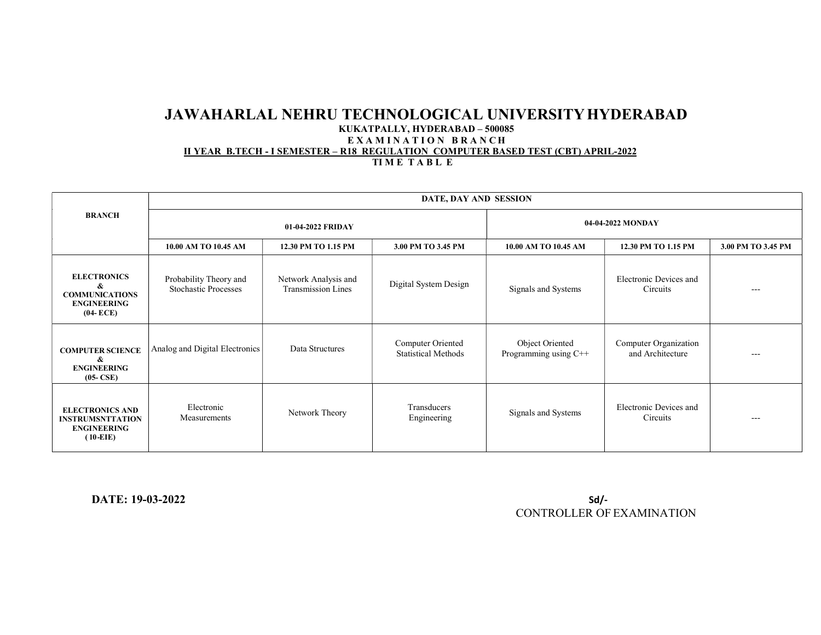## JAWAHARLAL NEHRU TECHNOLOGICAL UNIVERSITY HYDERABAD KUKATPALLY, HYDERABAD – 500085 EXAMINATION BRANCH II YEAR B.TECH - I SEMESTER – R18 REGULATION COMPUTER BASED TEST (CBT) APRIL-2022

TIME TABLE

| <b>BRANCH</b>                                                                          | DATE, DAY AND SESSION                                 |                                                   |                                                 |                                          |                                           |                    |  |
|----------------------------------------------------------------------------------------|-------------------------------------------------------|---------------------------------------------------|-------------------------------------------------|------------------------------------------|-------------------------------------------|--------------------|--|
|                                                                                        | 01-04-2022 FRIDAY                                     |                                                   |                                                 | 04-04-2022 MONDAY                        |                                           |                    |  |
|                                                                                        | 10.00 AM TO 10.45 AM                                  | 12.30 PM TO 1.15 PM                               | 3.00 PM TO 3.45 PM                              | 10.00 AM TO 10.45 AM                     | 12.30 PM TO 1.15 PM                       | 3.00 PM TO 3.45 PM |  |
| <b>ELECTRONICS</b><br>&<br><b>COMMUNICATIONS</b><br><b>ENGINEERING</b><br>$(04 - ECE)$ | Probability Theory and<br><b>Stochastic Processes</b> | Network Analysis and<br><b>Transmission Lines</b> | Digital System Design                           | Signals and Systems                      | Electronic Devices and<br>Circuits        | $---$              |  |
| <b>COMPUTER SCIENCE</b><br>&<br><b>ENGINEERING</b><br>$(05-CSE)$                       | Analog and Digital Electronics                        | Data Structures                                   | Computer Oriented<br><b>Statistical Methods</b> | Object Oriented<br>Programming using C++ | Computer Organization<br>and Architecture | $---$              |  |
| <b>ELECTRONICS AND</b><br><b>INSTRUMSNTTATION</b><br><b>ENGINEERING</b><br>$(10-EIE)$  | Electronic<br>Measurements                            | Network Theory                                    | Transducers<br>Engineering                      | Signals and Systems                      | Electronic Devices and<br>Circuits        | $---$              |  |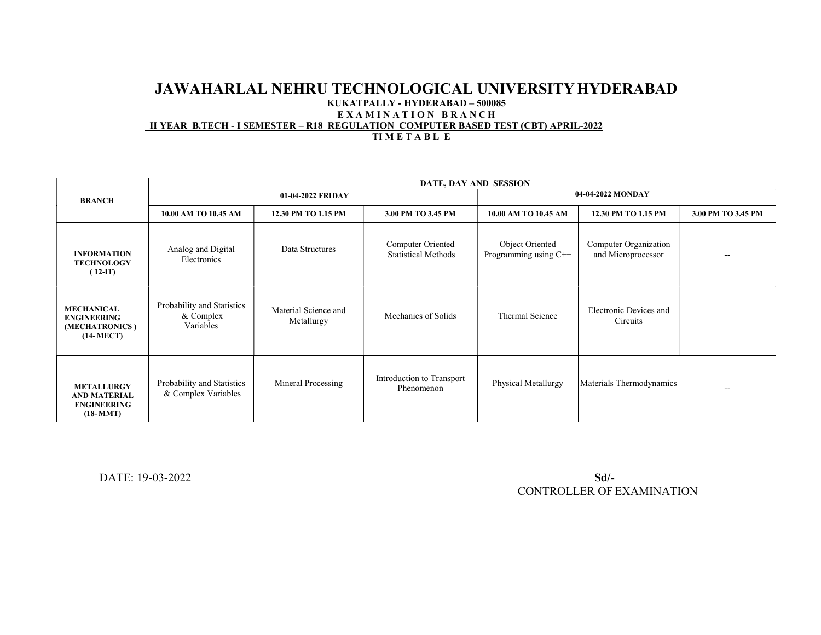#### JAWAHARLAL NEHRU TECHNOLOGICAL UNIVERSITY HYDERABAD KUKATPALLY - HYDERABAD – 500085 EXAMINATION BRANCH II YEAR B.TECH - I SEMESTER – R18 REGULATION COMPUTER BASED TEST (CBT) APRIL-2022 TIMETABLE

|                                                                              | DATE, DAY AND SESSION                                |                                    |                                                 |                                          |                                             |                          |  |
|------------------------------------------------------------------------------|------------------------------------------------------|------------------------------------|-------------------------------------------------|------------------------------------------|---------------------------------------------|--------------------------|--|
| <b>BRANCH</b>                                                                | 01-04-2022 FRIDAY                                    |                                    |                                                 | 04-04-2022 MONDAY                        |                                             |                          |  |
|                                                                              | 10.00 AM TO 10.45 AM                                 | 12.30 PM TO 1.15 PM                | 3.00 PM TO 3.45 PM                              | 10.00 AM TO 10.45 AM                     | 12.30 PM TO 1.15 PM                         | 3.00 PM TO 3.45 PM       |  |
| <b>INFORMATION</b><br><b>TECHNOLOGY</b><br>$(12-T)$                          | Analog and Digital<br>Electronics                    | Data Structures                    | Computer Oriented<br><b>Statistical Methods</b> | Object Oriented<br>Programming using C++ | Computer Organization<br>and Microprocessor | $\overline{\phantom{m}}$ |  |
| <b>MECHANICAL</b><br><b>ENGINEERING</b><br>(MECHATRONICS)<br>$(14-MECT)$     | Probability and Statistics<br>& Complex<br>Variables | Material Science and<br>Metallurgy | Mechanics of Solids                             | Thermal Science                          | Electronic Devices and<br>Circuits          |                          |  |
| <b>METALLURGY</b><br><b>AND MATERIAL</b><br><b>ENGINEERING</b><br>$(18-MMT)$ | Probability and Statistics<br>& Complex Variables    | Mineral Processing                 | Introduction to Transport<br>Phenomenon         | Physical Metallurgy                      | Materials Thermodynamics                    | $\overline{\phantom{m}}$ |  |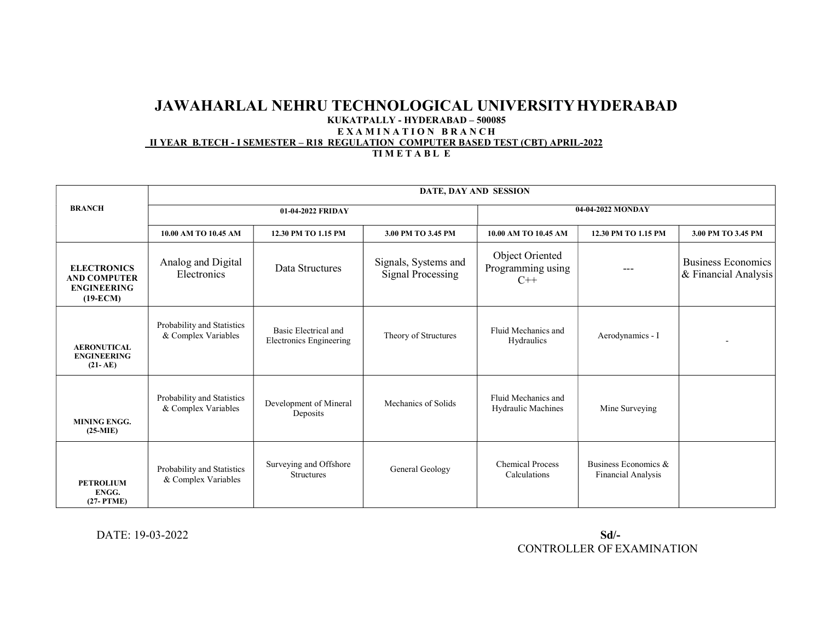# JAWAHARLAL NEHRU TECHNOLOGICAL UNIVERSITY HYDERABAD

#### KUKATPALLY - HYDERABAD – 500085

## EXAMINATION BRANCH

II YEAR B.TECH - I SEMESTER – R18 REGULATION COMPUTER BASED TEST (CBT) APRIL-2022

TI M E T A B L E

|                                                                               | DATE, DAY AND SESSION                             |                                                        |                                                  |                                                  |                                            |                                                   |  |
|-------------------------------------------------------------------------------|---------------------------------------------------|--------------------------------------------------------|--------------------------------------------------|--------------------------------------------------|--------------------------------------------|---------------------------------------------------|--|
| <b>BRANCH</b>                                                                 |                                                   | 01-04-2022 FRIDAY                                      |                                                  | 04-04-2022 MONDAY                                |                                            |                                                   |  |
|                                                                               | 10.00 AM TO 10.45 AM                              | 12.30 PM TO 1.15 PM                                    | 3.00 PM TO 3.45 PM                               | 10.00 AM TO 10.45 AM                             | 12.30 PM TO 1.15 PM                        | 3.00 PM TO 3.45 PM                                |  |
| <b>ELECTRONICS</b><br><b>AND COMPUTER</b><br><b>ENGINEERING</b><br>$(19-ECM)$ | Analog and Digital<br>Electronics                 | Data Structures                                        | Signals, Systems and<br><b>Signal Processing</b> | Object Oriented<br>Programming using<br>$C++$    |                                            | <b>Business Economics</b><br>& Financial Analysis |  |
| <b>AERONUTICAL</b><br><b>ENGINEERING</b><br>$(21-AE)$                         | Probability and Statistics<br>& Complex Variables | Basic Electrical and<br><b>Electronics Engineering</b> | Theory of Structures                             | Fluid Mechanics and<br>Hydraulics                | Aerodynamics - I                           |                                                   |  |
| <b>MINING ENGG.</b><br>$(25-MIE)$                                             | Probability and Statistics<br>& Complex Variables | Development of Mineral<br>Deposits                     | Mechanics of Solids                              | Fluid Mechanics and<br><b>Hydraulic Machines</b> | Mine Surveying                             |                                                   |  |
| <b>PETROLIUM</b><br>ENGG.<br>$(27-PTME)$                                      | Probability and Statistics<br>& Complex Variables | Surveying and Offshore<br><b>Structures</b>            | General Geology                                  | <b>Chemical Process</b><br>Calculations          | Business Economics &<br>Financial Analysis |                                                   |  |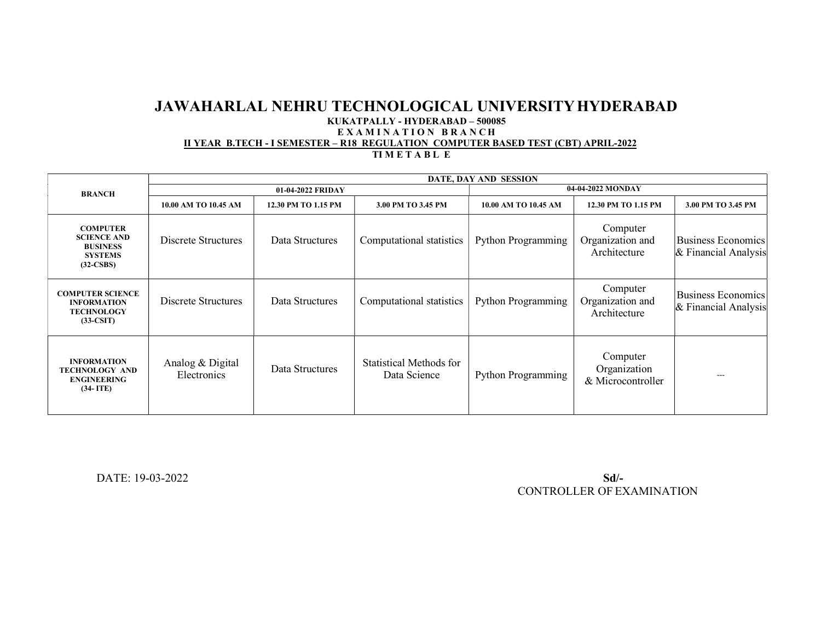### JAWAHARLAL NEHRU TECHNOLOGICAL UNIVERSITY HYDERABAD KUKATPALLY - HYDERABAD – 500085 EXAMINATION BRANCH II YEAR B.TECH - I SEMESTER – R18 REGULATION COMPUTER BASED TEST (CBT) APRIL-2022 TIMETABLE

|                                                                                           | DATE, DAY AND SESSION           |                     |                                         |                           |                                               |                                                     |  |
|-------------------------------------------------------------------------------------------|---------------------------------|---------------------|-----------------------------------------|---------------------------|-----------------------------------------------|-----------------------------------------------------|--|
| <b>BRANCH</b>                                                                             |                                 | 01-04-2022 FRIDAY   |                                         | 04-04-2022 MONDAY         |                                               |                                                     |  |
|                                                                                           | 10.00 AM TO 10.45 AM            | 12.30 PM TO 1.15 PM | 3.00 PM TO 3.45 PM                      | 10.00 AM TO 10.45 AM      | 12.30 PM TO 1.15 PM                           | 3.00 PM TO 3.45 PM                                  |  |
| <b>COMPUTER</b><br><b>SCIENCE AND</b><br><b>BUSINESS</b><br><b>SYSTEMS</b><br>$(32-CSBS)$ | Discrete Structures             | Data Structures     | Computational statistics                | <b>Python Programming</b> | Computer<br>Organization and<br>Architecture  | <b>Business Economics</b><br>$&$ Financial Analysis |  |
| <b>COMPUTER SCIENCE</b><br><b>INFORMATION</b><br><b>TECHNOLOGY</b><br>$(33-CSIT)$         | Discrete Structures             | Data Structures     | Computational statistics                | <b>Python Programming</b> | Computer<br>Organization and<br>Architecture  | <b>Business Economics</b><br>$&$ Financial Analysis |  |
| <b>INFORMATION</b><br><b>TECHNOLOGY AND</b><br><b>ENGINEERING</b><br>$(34-ITE)$           | Analog & Digital<br>Electronics | Data Structures     | Statistical Methods for<br>Data Science | <b>Python Programming</b> | Computer<br>Organization<br>& Microcontroller | ---                                                 |  |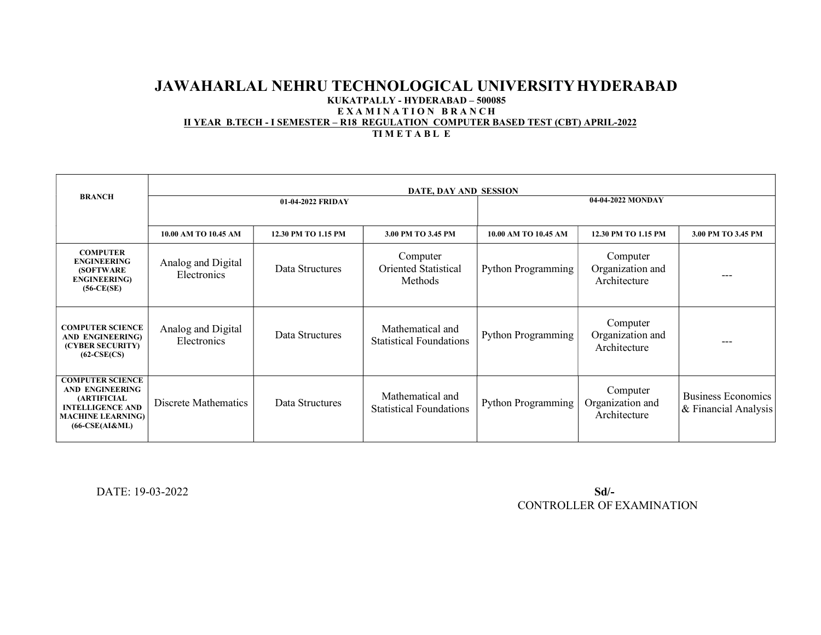## JAWAHARLAL NEHRU TECHNOLOGICAL UNIVERSITY HYDERABAD KUKATPALLY - HYDERABAD – 500085 EXAMINATION BRANCH II YEAR B.TECH - I SEMESTER – R18 REGULATION COMPUTER BASED TEST (CBT) APRIL-2022 TIMETABLE

|                                                                                                                                                    | DATE, DAY AND SESSION             |                     |                                                    |                           |                                              |                                                   |  |
|----------------------------------------------------------------------------------------------------------------------------------------------------|-----------------------------------|---------------------|----------------------------------------------------|---------------------------|----------------------------------------------|---------------------------------------------------|--|
| <b>BRANCH</b>                                                                                                                                      | 01-04-2022 FRIDAY                 |                     |                                                    | 04-04-2022 MONDAY         |                                              |                                                   |  |
|                                                                                                                                                    | 10.00 AM TO 10.45 AM              | 12.30 PM TO 1.15 PM | 3.00 PM TO 3.45 PM                                 | 10.00 AM TO 10.45 AM      | 12.30 PM TO 1.15 PM                          | 3.00 PM TO 3.45 PM                                |  |
| <b>COMPUTER</b><br><b>ENGINEERING</b><br><b>(SOFTWARE)</b><br><b>ENGINEERING)</b><br>$(56-CE(SE))$                                                 | Analog and Digital<br>Electronics | Data Structures     | Computer<br><b>Oriented Statistical</b><br>Methods | <b>Python Programming</b> | Computer<br>Organization and<br>Architecture |                                                   |  |
| <b>COMPUTER SCIENCE</b><br>AND ENGINEERING)<br>(CYBER SECURITY)<br>$(62-CSE(CS)$                                                                   | Analog and Digital<br>Electronics | Data Structures     | Mathematical and<br><b>Statistical Foundations</b> | <b>Python Programming</b> | Computer<br>Organization and<br>Architecture | ---                                               |  |
| <b>COMPUTER SCIENCE</b><br><b>AND ENGINEERING</b><br><b>(ARTIFICIAL</b><br><b>INTELLIGENCE AND</b><br><b>MACHINE LEARNING)</b><br>$(66-CSE(AI&ML)$ | Discrete Mathematics              | Data Structures     | Mathematical and<br><b>Statistical Foundations</b> | Python Programming        | Computer<br>Organization and<br>Architecture | <b>Business Economics</b><br>& Financial Analysis |  |